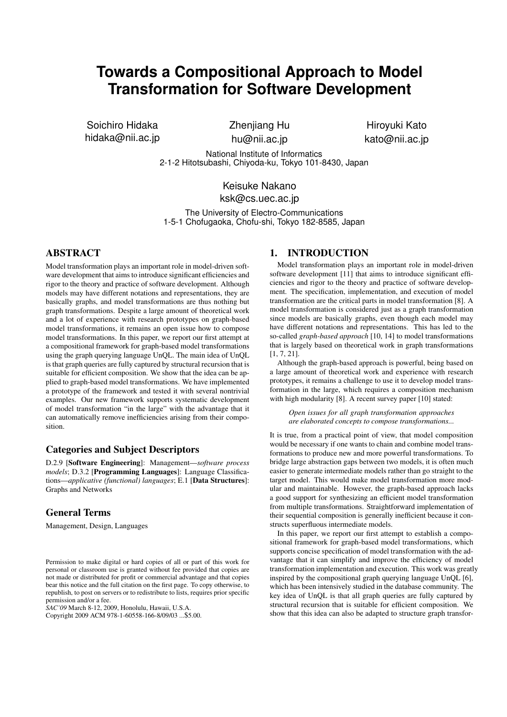# **Towards a Compositional Approach to Model Transformation for Software Development**

Soichiro Hidaka hidaka@nii.ac.jp Zhenjiang Hu hu@nii.ac.jp

Hiroyuki Kato kato@nii.ac.jp

National Institute of Informatics 2-1-2 Hitotsubashi, Chiyoda-ku, Tokyo 101-8430, Japan

> Keisuke Nakano ksk@cs.uec.ac.jp

The University of Electro-Communications 1-5-1 Chofugaoka, Chofu-shi, Tokyo 182-8585, Japan

# ABSTRACT

Model transformation plays an important role in model-driven software development that aims to introduce significant efficiencies and rigor to the theory and practice of software development. Although models may have different notations and representations, they are basically graphs, and model transformations are thus nothing but graph transformations. Despite a large amount of theoretical work and a lot of experience with research prototypes on graph-based model transformations, it remains an open issue how to compose model transformations. In this paper, we report our first attempt at a compositional framework for graph-based model transformations using the graph querying language UnQL. The main idea of UnQL is that graph queries are fully captured by structural recursion that is suitable for efficient composition. We show that the idea can be applied to graph-based model transformations. We have implemented a prototype of the framework and tested it with several nontrivial examples. Our new framework supports systematic development of model transformation "in the large" with the advantage that it can automatically remove inefficiencies arising from their composition.

# Categories and Subject Descriptors

D.2.9 [Software Engineering]: Management—*software process models*; D.3.2 [Programming Languages]: Language Classifications—*applicative (functional) languages*; E.1 [Data Structures]: Graphs and Networks

# General Terms

Management, Design, Languages

*SAC'09* March 8-12, 2009, Honolulu, Hawaii, U.S.A.

Copyright 2009 ACM 978-1-60558-166-8/09/03 ...\$5.00.

### 1. INTRODUCTION

Model transformation plays an important role in model-driven software development [11] that aims to introduce significant efficiencies and rigor to the theory and practice of software development. The specification, implementation, and execution of model transformation are the critical parts in model transformation [8]. A model transformation is considered just as a graph transformation since models are basically graphs, even though each model may have different notations and representations. This has led to the so-called *graph-based approach* [10, 14] to model transformations that is largely based on theoretical work in graph transformations [1, 7, 21].

Although the graph-based approach is powerful, being based on a large amount of theoretical work and experience with research prototypes, it remains a challenge to use it to develop model transformation in the large, which requires a composition mechanism with high modularity [8]. A recent survey paper [10] stated:

*Open issues for all graph transformation approaches are elaborated concepts to compose transformations...*

It is true, from a practical point of view, that model composition would be necessary if one wants to chain and combine model transformations to produce new and more powerful transformations. To bridge large abstraction gaps between two models, it is often much easier to generate intermediate models rather than go straight to the target model. This would make model transformation more modular and maintainable. However, the graph-based approach lacks a good support for synthesizing an efficient model transformation from multiple transformations. Straightforward implementation of their sequential composition is generally inefficient because it constructs superfluous intermediate models.

In this paper, we report our first attempt to establish a compositional framework for graph-based model transformations, which supports concise specification of model transformation with the advantage that it can simplify and improve the efficiency of model transformation implementation and execution. This work was greatly inspired by the compositional graph querying language UnQL [6], which has been intensively studied in the database community. The key idea of UnQL is that all graph queries are fully captured by structural recursion that is suitable for efficient composition. We show that this idea can also be adapted to structure graph transfor-

Permission to make digital or hard copies of all or part of this work for personal or classroom use is granted without fee provided that copies are not made or distributed for profit or commercial advantage and that copies bear this notice and the full citation on the first page. To copy otherwise, to republish, to post on servers or to redistribute to lists, requires prior specific permission and/or a fee.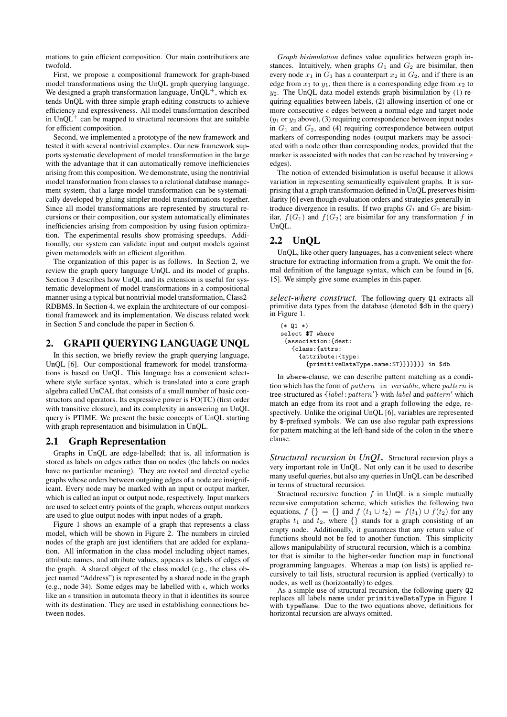mations to gain efficient composition. Our main contributions are twofold.

First, we propose a compositional framework for graph-based model transformations using the UnQL graph querying language. We designed a graph transformation language,  $UnQL^+$ , which extends UnQL with three simple graph editing constructs to achieve efficiency and expressiveness. All model transformation described in  $UnQL<sup>+</sup>$  can be mapped to structural recursions that are suitable for efficient composition.

Second, we implemented a prototype of the new framework and tested it with several nontrivial examples. Our new framework supports systematic development of model transformation in the large with the advantage that it can automatically remove inefficiencies arising from this composition. We demonstrate, using the nontrivial model transformation from classes to a relational database management system, that a large model transformation can be systematically developed by gluing simpler model transformations together. Since all model transformations are represented by structural recursions or their composition, our system automatically eliminates inefficiencies arising from composition by using fusion optimization. The experimental results show promising speedups. Additionally, our system can validate input and output models against given metamodels with an efficient algorithm.

The organization of this paper is as follows. In Section 2, we review the graph query language UnQL and its model of graphs. Section 3 describes how UnQL and its extension is useful for systematic development of model transformations in a compositional manner using a typical but nontrivial model transformation, Class2- RDBMS. In Section 4, we explain the architecture of our compositional framework and its implementation. We discuss related work in Section 5 and conclude the paper in Section 6.

# 2. GRAPH QUERYING LANGUAGE UNQL

In this section, we briefly review the graph querying language, UnQL [6]. Our compositional framework for model transformations is based on UnQL. This language has a convenient selectwhere style surface syntax, which is translated into a core graph algebra called UnCAL that consists of a small number of basic constructors and operators. Its expressive power is FO(TC) (first order with transitive closure), and its complexity in answering an UnQL query is PTIME. We present the basic concepts of UnQL starting with graph representation and bisimulation in UnQL.

# 2.1 Graph Representation

Graphs in UnQL are edge-labelled; that is, all information is stored as labels on edges rather than on nodes (the labels on nodes have no particular meaning). They are rooted and directed cyclic graphs whose orders between outgoing edges of a node are insignificant. Every node may be marked with an input or output marker, which is called an input or output node, respectively. Input markers are used to select entry points of the graph, whereas output markers are used to glue output nodes with input nodes of a graph.

Figure 1 shows an example of a graph that represents a class model, which will be shown in Figure 2. The numbers in circled nodes of the graph are just identifiers that are added for explanation. All information in the class model including object names, attribute names, and attribute values, appears as labels of edges of the graph. A shared object of the class model (e.g., the class object named "Address") is represented by a shared node in the graph (e.g., node 34). Some edges may be labelled with *ϵ*, which works like an  $\epsilon$  transition in automata theory in that it identifies its source with its destination. They are used in establishing connections between nodes.

*Graph bisimulation* defines value equalities between graph instances. Intuitively, when graphs  $G_1$  and  $G_2$  are bisimilar, then every node  $x_1$  in  $G_1$  has a counterpart  $x_2$  in  $G_2$ , and if there is an edge from  $x_1$  to  $y_1$ , then there is a corresponding edge from  $x_2$  to *y*2. The UnQL data model extends graph bisimulation by (1) requiring equalities between labels, (2) allowing insertion of one or more consecutive  $\epsilon$  edges between a normal edge and target node  $(y_1$  or  $y_2$  above), (3) requiring correspondence between input nodes in  $G_1$  and  $G_2$ , and (4) requiring correspondence between output markers of corresponding nodes (output markers may be associated with a node other than corresponding nodes, provided that the marker is associated with nodes that can be reached by traversing *ϵ* edges).

The notion of extended bisimulation is useful because it allows variation in representing semantically equivalent graphs. It is surprising that a graph transformation defined in UnQL preserves bisimilarity [6] even though evaluation orders and strategies generally introduce divergence in results. If two graphs  $G_1$  and  $G_2$  are bisimilar,  $f(G_1)$  and  $f(G_2)$  are bisimilar for any transformation  $f$  in UnQL.

# 2.2 UnQL

UnQL, like other query languages, has a convenient select-where structure for extracting information from a graph. We omit the formal definition of the language syntax, which can be found in [6, 15]. We simply give some examples in this paper.

*select-where construct.* The following query Q1 extracts all primitive data types from the database (denoted \$db in the query) in Figure 1.

```
(* 01 *)select $T where
{association:{dest:
   {class:{attrs:
     {attribute:{type:
       {primitiveDataType.name:$T}}}}}}} in $db
```
In where-clause, we can describe pattern matching as a condition which has the form of *pattern* in *variable*, where *pattern* is tree-structured as {*label*:*pattern′* } with *label* and *pattern′* which match an edge from its root and a graph following the edge, respectively. Unlike the original UnQL [6], variables are represented by \$-prefixed symbols. We can use also regular path expressions for pattern matching at the left-hand side of the colon in the where clause.

*Structural recursion in UnQL.* Structural recursion plays a very important role in UnQL. Not only can it be used to describe many useful queries, but also any queries in UnQL can be described in terms of structural recursion.

Structural recursive function *f* in UnQL is a simple mutually recursive computation scheme, which satisfies the following two equations,  $f\{\} = \{\}$  and  $f(t_1 \cup t_2) = f(t_1) \cup f(t_2)$  for any graphs  $t_1$  and  $t_2$ , where  $\{\}$  stands for a graph consisting of an empty node. Additionally, it guarantees that any return value of functions should not be fed to another function. This simplicity allows manipulability of structural recursion, which is a combinator that is similar to the higher-order function map in functional programming languages. Whereas a map (on lists) is applied recursively to tail lists, structural recursion is applied (vertically) to nodes, as well as (horizontally) to edges.

As a simple use of structural recursion, the following query Q2 replaces all labels name under primitiveDataType in Figure 1 with typeName. Due to the two equations above, definitions for horizontal recursion are always omitted.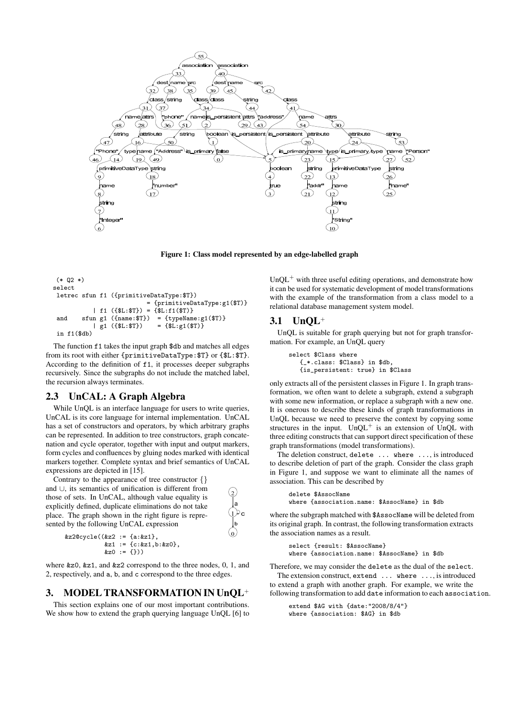

Figure 1: Class model represented by an edge-labelled graph

```
(* 02 *)select
 letrec sfun f1 ({primitiveDataType:$T})
                                                            = {primitiveDataType:g1($T)}
                  | f1 ({\{\text{SL}:\text{ST}\}}) = {\{\text{SL}: \text{f1}(\text{ST})\}}<br>sfun g1 ({\text{name}:\text{ST}\}}) = { \text{typeNam}}\begin{array}{lcl} \text{and} & \text{sim g1 (}\text{fname}:\texttt{f}) = \text{typeName}:\texttt{g1}(\texttt{f})\} \\ & & | \text{g1 (}\texttt{f1}:\texttt{f}) \texttt{)} & = \texttt{f1(g1}(\texttt{f})\} \end{array}| g1 ({$L:$T}) = {$L:g1($T)}
  in f1($db)
```
The function f1 takes the input graph \$db and matches all edges from its root with either {primitiveDataType:\$T} or {\$L:\$T}. According to the definition of f1, it processes deeper subgraphs recursively. Since the subgraphs do not include the matched label, the recursion always terminates.

# 2.3 UnCAL: A Graph Algebra

While UnQL is an interface language for users to write queries, UnCAL is its core language for internal implementation. UnCAL has a set of constructors and operators, by which arbitrary graphs can be represented. In addition to tree constructors, graph concatenation and cycle operator, together with input and output markers, form cycles and confluences by gluing nodes marked with identical markers together. Complete syntax and brief semantics of UnCAL expressions are depicted in [15].

Contrary to the appearance of tree constructor *{}* and *∪*, its semantics of unification is different from those of sets. In UnCAL, although value equality is explicitly defined, duplicate eliminations do not take place. The graph shown in the right figure is represented by the following UnCAL expression

```
&z2@cycle((&z2 := {a:&z1},&z1 := \{c: \&z1, b: \&z0\},&z0 := {} {}))
```
where  $\&z0$ ,  $\&z1$ , and  $\&z2$  correspond to the three nodes, 0, 1, and 2, respectively, and a, b, and c correspond to the three edges.

### 3. MODEL TRANSFORMATION IN UnQL<sup>+</sup>

This section explains one of our most important contributions. We show how to extend the graph querying language UnQL [6] to  $UnOL<sup>+</sup>$  with three useful editing operations, and demonstrate how it can be used for systematic development of model transformations with the example of the transformation from a class model to a relational database management system model.

#### 3.1 UnQL<sup>+</sup>

UnQL is suitable for graph querying but not for graph transformation. For example, an UnQL query

```
select $Class where
   {_*.class: $Class} in $db,
   {is_persistent: true} in $Class
```
only extracts all of the persistent classes in Figure 1. In graph transformation, we often want to delete a subgraph, extend a subgraph with some new information, or replace a subgraph with a new one. It is onerous to describe these kinds of graph transformations in UnQL because we need to preserve the context by copying some structures in the input.  $UnQL^+$  is an extension of UnQL with three editing constructs that can support direct specification of these graph transformations (model transformations).

The deletion construct, delete ... where ..., is introduced to describe deletion of part of the graph. Consider the class graph in Figure 1, and suppose we want to eliminate all the names of association. This can be described by

```
delete $AssocName
where {association.name: $AssocName} in $db
```
where the subgraph matched with \$AssocName will be deleted from its original graph. In contrast, the following transformation extracts the association names as a result.

```
select {result: $AssocName}
where {association.name: $AssocName} in $db
```
Therefore, we may consider the delete as the dual of the select. The extension construct, extend ... where ..., is introduced

to extend a graph with another graph. For example, we write the following transformation to add date information to each association.

```
extend $AG with {date:"2008/8/4"}
where {association: $AG} in $db
```
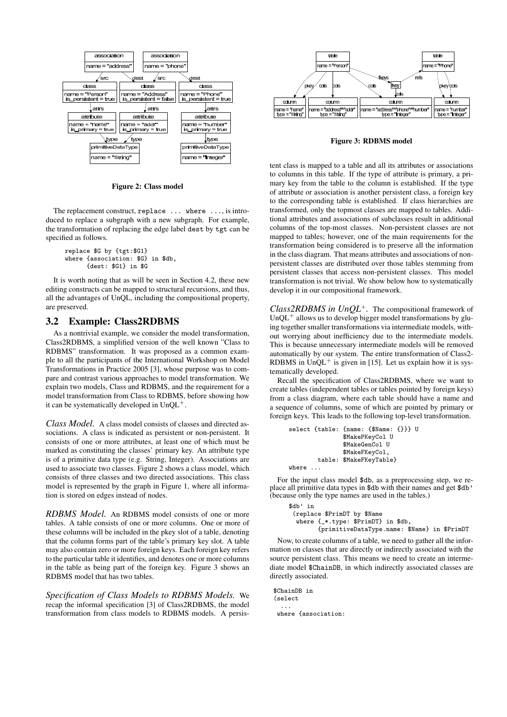

Figure 2: Class model

The replacement construct, replace ... where ..., is introduced to replace a subgraph with a new subgraph. For example, the transformation of replacing the edge label dest by tgt can be specified as follows.

```
replace $G by {tgt:$G1}
where {association: $G} in $db,
      {dest: $G1} in $G
```
It is worth noting that as will be seen in Section 4.2, these new editing constructs can be mapped to structural recursions, and thus, all the advantages of UnQL, including the compositional property, are preserved.

### 3.2 Example: Class2RDBMS

As a nontrivial example, we consider the model transformation, Class2RDBMS, a simplified version of the well known "Class to RDBMS" transformation. It was proposed as a common example to all the participants of the International Workshop on Model Transformations in Practice 2005 [3], whose purpose was to compare and contrast various approaches to model transformation. We explain two models, Class and RDBMS, and the requirement for a model transformation from Class to RDBMS, before showing how it can be systematically developed in  $UnQL<sup>+</sup>$ .

*Class Model.* A class model consists of classes and directed associations. A class is indicated as persistent or non-persistent. It consists of one or more attributes, at least one of which must be marked as constituting the classes' primary key. An attribute type is of a primitive data type (e.g. String, Integer). Associations are used to associate two classes. Figure 2 shows a class model, which consists of three classes and two directed associations. This class model is represented by the graph in Figure 1, where all information is stored on edges instead of nodes.

*RDBMS Model.* An RDBMS model consists of one or more tables. A table consists of one or more columns. One or more of these columns will be included in the pkey slot of a table, denoting that the column forms part of the table's primary key slot. A table may also contain zero or more foreign keys. Each foreign key refers to the particular table it identifies, and denotes one or more columns in the table as being part of the foreign key. Figure 3 shows an RDBMS model that has two tables.

*Specification of Class Models to RDBMS Models.* We recap the informal specification [3] of Class2RDBMS, the model transformation from class models to RDBMS models. A persis-



#### Figure 3: RDBMS model

tent class is mapped to a table and all its attributes or associations to columns in this table. If the type of attribute is primary, a primary key from the table to the column is established. If the type of attribute or association is another persistent class, a foreign key to the corresponding table is established. If class hierarchies are transformed, only the topmost classes are mapped to tables. Additional attributes and associations of subclasses result in additional columns of the top-most classes. Non-persistent classes are not mapped to tables; however, one of the main requirements for the transformation being considered is to preserve all the information in the class diagram. That means attributes and associations of nonpersistent classes are distributed over those tables stemming from persistent classes that access non-persistent classes. This model transformation is not trivial. We show below how to systematically develop it in our compositional framework.

*Class2RDBMS in UnQL*<sup>+</sup>*.* The compositional framework of  $UnOL<sup>+</sup>$  allows us to develop bigger model transformations by gluing together smaller transformations via intermediate models, without worrying about inefficiency due to the intermediate models. This is because unnecessary intermediate models will be removed automatically by our system. The entire transformation of Class2- RDBMS in  $UnQL^+$  is given in [15]. Let us explain how it is systematically developed.

Recall the specification of Class2RDBMS, where we want to create tables (independent tables or tables pointed by foreign keys) from a class diagram, where each table should have a name and a sequence of columns, some of which are pointed by primary or foreign keys. This leads to the following top-level transformation.

```
select {table: {name: {$Name: {}}} U
               $MakePKeyCol U
               $MakeGenCol U
               $MakeFKeyCol,
        table: $MakeFKeyTable}
where
```
For the input class model \$db, as a preprocessing step, we replace all primitive data types in \$db with their names and get \$db' (because only the type names are used in the tables.)

```
$db' in
 (replace $PrimDT by $Name
 where {_*.type: $PrimDT} in $db,
        {primitiveDataType.name: $Name} in $PrimDT
```
Now, to create columns of a table, we need to gather all the information on classes that are directly or indirectly associated with the source persistent class. This means we need to create an intermediate model \$ChainDB, in which indirectly associated classes are directly associated.

```
$ChainDB in
(select
  ...
 where {association:
```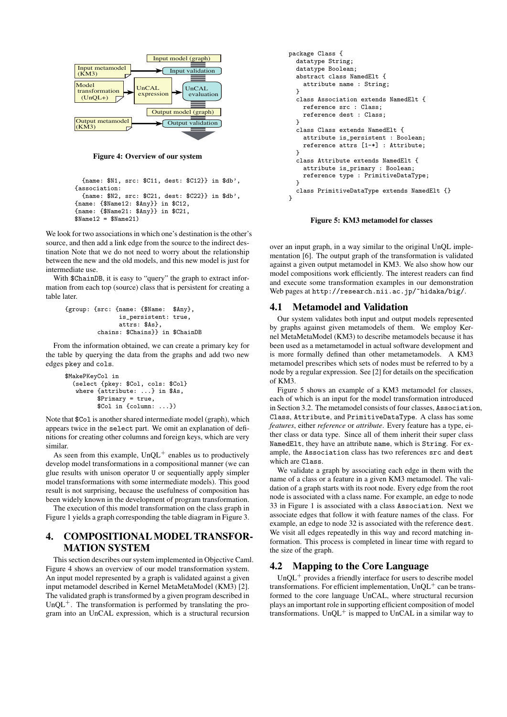

Figure 4: Overview of our system

```
{name: $N1, src: $C11, dest: $C12}} in $db',
{association:
  {name: $N2, src: $C21, dest: $C22}} in $db',
{name: {$Name12: $Any}} in $C12,
{name: {$Name21: $Any}} in $C21,
$Name12 = $Name21)
```
We look for two associations in which one's destination is the other's source, and then add a link edge from the source to the indirect destination Note that we do not need to worry about the relationship between the new and the old models, and this new model is just for intermediate use.

With  $ChainDB$ , it is easy to "query" the graph to extract information from each top (source) class that is persistent for creating a table later.

```
{group: {src: {name: {$Name: $Any},
               is_persistent: true,
               attrs: $As},
         chains: $Chains}} in $ChainDB
```
From the information obtained, we can create a primary key for the table by querying the data from the graphs and add two new edges pkey and cols.

```
$MakePKeyCol in
  (select {pkey: $Col, cols: $Col}
   where {attribute: ...} in $As,
         $Primary = true,
         $Col in {column: ...})
```
Note that \$Col is another shared intermediate model (graph), which appears twice in the select part. We omit an explanation of definitions for creating other columns and foreign keys, which are very similar.

As seen from this example,  $UnQL<sup>+</sup>$  enables us to productively develop model transformations in a compositional manner (we can glue results with unison operator U or sequentially apply simpler model transformations with some intermediate models). This good result is not surprising, because the usefulness of composition has been widely known in the development of program transformation.

The execution of this model transformation on the class graph in Figure 1 yields a graph corresponding the table diagram in Figure 3.

# 4. COMPOSITIONALMODEL TRANSFOR-MATION SYSTEM

This section describes our system implemented in Objective Caml. Figure 4 shows an overview of our model transformation system. An input model represented by a graph is validated against a given input metamodel described in Kernel MetaMetaModel (KM3) [2]. The validated graph is transformed by a given program described in  $UnQL<sup>+</sup>$ . The transformation is performed by translating the program into an UnCAL expression, which is a structural recursion

```
package Class {
  datatype String;
  datatype Boolean;
  abstract class NamedElt {
    attribute name : String;
  }
  class Association extends NamedElt {
    reference src : Class;
    reference dest : Class;
  }
  class Class extends NamedElt {
    attribute is_persistent : Boolean;
    reference attrs [1-*] : Attribute;
  }
  class Attribute extends NamedElt {
    attribute is_primary : Boolean;
    reference type : PrimitiveDataType;
 \overline{ }class PrimitiveDataType extends NamedElt {}
}
```
Figure 5: KM3 metamodel for classes

over an input graph, in a way similar to the original UnQL implementation [6]. The output graph of the transformation is validated against a given output metamodel in KM3. We also show how our model compositions work efficiently. The interest readers can find and execute some transformation examples in our demonstration Web pages at http://research.nii.ac.jp/~hidaka/big/.

### 4.1 Metamodel and Validation

Our system validates both input and output models represented by graphs against given metamodels of them. We employ Kernel MetaMetaModel (KM3) to describe metamodels because it has been used as a metametamodel in actual software development and is more formally defined than other metametamodels. A KM3 metamodel prescribes which sets of nodes must be referred to by a node by a regular expression. See [2] for details on the specification of KM3.

Figure 5 shows an example of a KM3 metamodel for classes, each of which is an input for the model transformation introduced in Section 3.2. The metamodel consists of four classes, Association, Class, Attribute, and PrimitiveDataType. A class has some *features*, either *reference* or *attribute*. Every feature has a type, either class or data type. Since all of them inherit their super class NamedElt, they have an attribute name, which is String. For example, the Association class has two references src and dest which are Class.

We validate a graph by associating each edge in them with the name of a class or a feature in a given KM3 metamodel. The validation of a graph starts with its root node. Every edge from the root node is associated with a class name. For example, an edge to node 33 in Figure 1 is associated with a class Association. Next we associate edges that follow it with feature names of the class. For example, an edge to node 32 is associated with the reference dest. We visit all edges repeatedly in this way and record matching information. This process is completed in linear time with regard to the size of the graph.

# 4.2 Mapping to the Core Language

 $UnQL<sup>+</sup>$  provides a friendly interface for users to describe model transformations. For efficient implementation,  $UnQL<sup>+</sup>$  can be transformed to the core language UnCAL, where structural recursion plays an important role in supporting efficient composition of model transformations.  $UnQL^+$  is mapped to UnCAL in a similar way to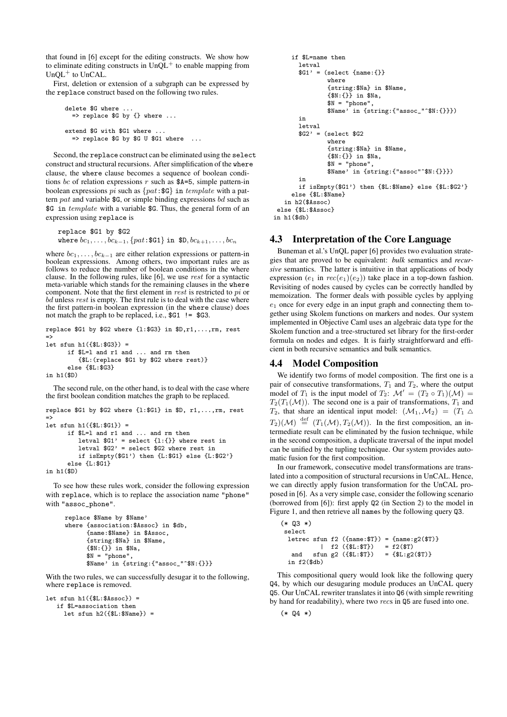that found in [6] except for the editing constructs. We show how to eliminate editing constructs in  $UnQL<sup>+</sup>$  to enable mapping from  $\text{UnOL}^+$  to  $\text{UnCAI}$ .

First, deletion or extension of a subgraph can be expressed by the replace construct based on the following two rules.

```
delete $G where ...
  => replace $G by {} where ...
extend $G with $G1 where ...
  \Rightarrow replace $G by $G U $G1 where \ldots
```
Second, the replace construct can be eliminated using the select construct and structural recursions. After simplification of the where clause, the where clause becomes a sequence of boolean conditions *bc* of relation expressions *r* such as \$A=5, simple pattern-in boolean expressions *pi* such as *{pat*:\$G*}* in *template* with a pattern *pat* and variable \$G, or simple binding expressions *bd* such as \$G in *template* with a variable \$G. Thus, the general form of an expression using replace is

```
replace $G1 by $G2
where bc1, . . . , bck−1, {pat:$G1} in $D, bck+1, . . . , bcn
```
where *bc*1*, . . . , bc<sup>k</sup>−*<sup>1</sup> are either relation expressions or pattern-in boolean expressions. Among others, two important rules are as follows to reduce the number of boolean conditions in the where clause. In the following rules, like [6], we use *rest* for a syntactic meta-variable which stands for the remaining clauses in the where component. Note that the first element in *rest* is restricted to *pi* or *bd* unless *rest* is empty. The first rule is to deal with the case where the first pattern-in boolean expression (in the where clause) does not match the graph to be replaced, i.e., \$G1 != \$G3.

```
replace $G1 by $G2 where {l:$G3} in $D,r1,...,rm, rest
=>
let sfun h1({$L:$G3}) =
      if $L=l and r1 and ... and rm then
         {$L:(replace $G1 by $G2 where rest)}
      else {$L:$G3}
in h1($D)
```
The second rule, on the other hand, is to deal with the case where the first boolean condition matches the graph to be replaced.

```
replace $G1 by $G2 where {l:$G1} in $D, r1,...,rm, rest
=>
let sfun h1({$L:$G1}$) =if $L=l and r1 and ... and rm then
         letval G1' = select \{1:\}\} where rest in
         letval G2' = select G2 where rest in
         if isEmpty($G1') then {L:$G1} else {L:$G2'}
      else {L:$G1}
in h1($D)
```
To see how these rules work, consider the following expression with replace, which is to replace the association name "phone" with "assoc\_phone".

```
replace $Name by $Name'
where {association:$Assoc} in $db,
      {name:$Name} in $Assoc,
      {string:$Na} in $Name,
      {$N:{}} in $Na,
      $N = "phone",
      $Name' in {string:{"assoc_"^$N:{}}}
```
With the two rules, we can successfully desugar it to the following, where replace is removed.

```
let sfun h1({$L:$Assoc$}) =
   if $L=association then
    let sfun h2({$L:$Name}) =
```

```
if $L=name then
      letval
       G1' = (select frame: {}where
               {string:$Na} in $Name,
               {$N:{}} in $Na,
               $N = "phone",
               $Name' in {string:{"assoc_"^$N:{}}})
       in
      letval
       G2' = (select $G2)where
               {string:$Na} in $Name,
               {$N:{}} in $Na,
               N = "phone",
               $Name' in {string:{"assoc"^$N:{}}})
       in
      if isEmpty($G1') then {$L:$Name} else {$L:$G2'}
    else {$L:$Name}
  in h2($Assoc)
 else {$L:$Assoc}
in h1($db)
```
# 4.3 Interpretation of the Core Language

Buneman et al.'s UnQL paper [6] provides two evaluation strategies that are proved to be equivalent: *bulk* semantics and *recursive* semantics. The latter is intuitive in that applications of body expression  $(e_1$  in  $rec(e_1)(e_2)$ ) take place in a top-down fashion. Revisiting of nodes caused by cycles can be correctly handled by memoization. The former deals with possible cycles by applying *e*<sup>1</sup> once for every edge in an input graph and connecting them together using Skolem functions on markers and nodes. Our system implemented in Objective Caml uses an algebraic data type for the Skolem function and a tree-structured set library for the first-order formula on nodes and edges. It is fairly straightforward and efficient in both recursive semantics and bulk semantics.

# 4.4 Model Composition

We identify two forms of model composition. The first one is a pair of consecutive transformations,  $T_1$  and  $T_2$ , where the output model of  $T_1$  is the input model of  $T_2$ :  $\mathcal{M}' = (T_2 \circ T_1)(\mathcal{M}) =$  $T_2(T_1(\mathcal{M}))$ . The second one is a pair of transformations,  $T_1$  and *T*<sub>2</sub>, that share an identical input model:  $(\mathcal{M}_1, \mathcal{M}_2) = (T_1 \triangle T_2)$  $T_2(\mathcal{M}) \stackrel{\text{def}}{=} (T_1(\mathcal{M}), T_2(\mathcal{M}))$ . In the first composition, an intermediate result can be eliminated by the fusion technique, while in the second composition, a duplicate traversal of the input model can be unified by the tupling technique. Our system provides automatic fusion for the first composition.

In our framework, consecutive model transformations are translated into a composition of structural recursions in UnCAL. Hence, we can directly apply fusion transformation for the UnCAL proposed in [6]. As a very simple case, consider the following scenario (borrowed from [6]): first apply Q2 (in Section 2) to the model in Figure 1, and then retrieve all names by the following query Q3.

```
(* Q3 *)
 select
   letrec sfun f2 ({\text{name}: } \$T}) = {\text{name}: } g2(\$T)}<br>| f2 ($\{1:\$T\}) = f2($\$T)
                     | f2 ({\text{I}}(I,\T}) = f2({\text{T}}(I,\)<br>
[iun g2 ({\text{T}}(I,\T}) = {I(L,g^T)}
     and sfun g2 (\{\$L:\$T\})in f2($db)
```
This compositional query would look like the following query Q4, by which our desugaring module produces an UnCAL query Q5. Our UnCAL rewriter translates it into Q6 (with simple rewriting by hand for readability), where two *rec*s in Q5 are fused into one.

 $(* 04 *)$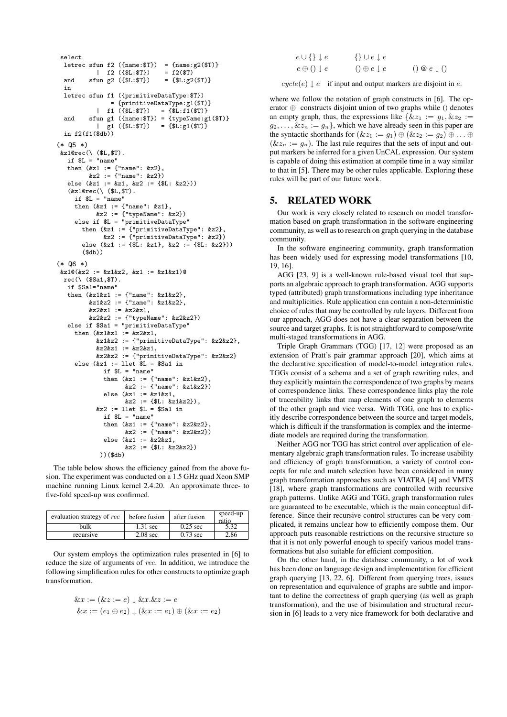```
select
  letrec sfun f2 ({name:fT}) = {name:g2($T)}<br>| f2 ({\st} \left \text} = f2(\st}
              | f2 ({\text{SL:ST}}) = f2({\text{ST}})<br>
un g2 ({\text{SL:ST}}) = {\text{SL:g2(ST)}}and sfun g2 ({\$L:\$T\})
  in
  letrec sfun f1 ({primitiveDataType:$T})
                   = {primitiveDataType:g1($T)}<br>:1 ({$L:$T}) = {$L:f1($T)}
              | f1 (\{\$L:\$T\})\begin{array}{lll} \text{and} & \text{sim g1 (}\{\text{name}:\$T\}) = \{\text{typeName}:g1(\$T)\} \\ & & | g1 (\$L:\$T\}) = \{\$L:g1(\$T)\} \end{array}| g1 ({\{\$L:\$T\}})
  in f2(f1($db))
(*  Q5 * )&z1@rec(\{ $L, $T\}.if L = "name"then (kz1 := {\text{ 'name''}}: kz2,
           \&zz2 := {\text{ 'name'': }} \&zz2})else (&z1 := &z1, &z2 := {$L: &z2}))
   (kz1@rec(\n\langle \$L, \$T \rangle).if L = "name"then (kz1 := \{ "name": kz1 \}, )&zz2 := {\text{ "typeName": } \&zz2}}else if $L = "primitiveDataType"
        then (kz1 := {\text{^\texttt{t}}\text{primitiveDataType\texttt{''}: } kz2},&z2 := {"primitiveDataType": &z2})
         else (&z1 := {$L: &z1}, &z2 := {$L: &z2}))
         ($db))
(* 06 *)&z1@(kz2 := &z1kz2, &z1 := &z1kz1)@rec(\S$Sat.$T).
   if $Sa1="name"
   then (kz1kz1 := \{ "name": } kz1kz2 \},&z1&z2 := {'1}name": &z1&z2},&zz2&z1 := &zz2&z1,&z2&z2 := {"typeName": &z2&z2})
   else if $Sa1 = "primitiveDataType"
      then (kz1kz1 := kz2kz1.
              &z1&z2 := {"primitiveDataType": &z2&z2},
              &zz2&z1 := &z2&zz1,
             &z2&z2 := {"primitiveDataType": &z2&z2}
      else (kz1 := \text{let } $L = $Sat inif $I. = "name"then (kz1 := {\text{}'name": } kz1kz2.
                        &z2 := {"name": &z1&z2})
                else (&z1 := &z1&z1,
                        &zz2 := f$L: &zz1&zz2}&z2 := llet $L = $Sa1 in
                if SL = "name"then (&z1 := {"name": &z2&z2},
                        &zz2 := {\text{Trame}} : &zz2kz2})else (&z1 := &z2&z1,
                        &zz2 := { $L: &z22z2 }))($db)
```
The table below shows the efficiency gained from the above fusion. The experiment was conducted on a 1.5 GHz quad Xeon SMP machine running Linux kernel 2.4.20. An approximate three- to five-fold speed-up was confirmed.

| evaluation strategy of rec | before fusion      | after fusion       | speed-up<br>ratio |
|----------------------------|--------------------|--------------------|-------------------|
| bulk                       | $1.31 \text{ sec}$ | $0.25$ sec         | 5.32              |
| recursive                  | $2.08 \text{ sec}$ | $0.73 \text{ sec}$ | 2.86              |

Our system employs the optimization rules presented in [6] to reduce the size of arguments of *rec*. In addition, we introduce the following simplification rules for other constructs to optimize graph transformation.

$$
\& x := (\& z := e) \downarrow \& x.\& z := e
$$
  

$$
\& x := (e_1 \oplus e_2) \downarrow (\& x := e_1) \oplus (\& x := e_2)
$$

| $e \cup \{\}\downarrow e$  | $\{\}\cup e \downarrow e$    |                        |
|----------------------------|------------------------------|------------------------|
| $e \oplus () \downarrow e$ | () $\oplus$ $e \downarrow e$ | $() @ e \downarrow ()$ |

 $cycle(e) \perp e$  if input and output markers are disjoint in *e*.

where we follow the notation of graph constructs in [6]. The operator *⊕* constructs disjoint union of two graphs while () denotes an empty graph, thus, the expressions like  $\{ \& z_1 := g_1, \& z_2 :=$  $g_2, \ldots, \&z_n := g_n$ , which we have already seen in this paper are the syntactic shorthands for  $(kz_1 := g_1) \oplus (kz_2 := g_2) \oplus \ldots \oplus$  $(\&z_n := q_n)$ . The last rule requires that the sets of input and output markers be inferred for a given UnCAL expression. Our system is capable of doing this estimation at compile time in a way similar to that in [5]. There may be other rules applicable. Exploring these rules will be part of our future work.

# 5. RELATED WORK

Our work is very closely related to research on model transformation based on graph transformation in the software engineering community, as well as to research on graph querying in the database community.

In the software engineering community, graph transformation has been widely used for expressing model transformations [10, 19, 16].

AGG [23, 9] is a well-known rule-based visual tool that supports an algebraic approach to graph transformation. AGG supports typed (attributed) graph transformations including type inheritance and multiplicities. Rule application can contain a non-deterministic choice of rules that may be controlled by rule layers. Different from our approach, AGG does not have a clear separation between the source and target graphs. It is not straightforward to compose/write multi-staged transformations in AGG.

Triple Graph Grammars (TGG) [17, 12] were proposed as an extension of Pratt's pair grammar approach [20], which aims at the declarative specification of model-to-model integration rules. TGGs consist of a schema and a set of graph rewriting rules, and they explicitly maintain the correspondence of two graphs by means of correspondence links. These correspondence links play the role of traceability links that map elements of one graph to elements of the other graph and vice versa. With TGG, one has to explicitly describe correspondence between the source and target models, which is difficult if the transformation is complex and the intermediate models are required during the transformation.

Neither AGG nor TGG has strict control over application of elementary algebraic graph transformation rules. To increase usability and efficiency of graph transformation, a variety of control concepts for rule and match selection have been considered in many graph transformation approaches such as VIATRA [4] and VMTS [18], where graph transformations are controlled with recursive graph patterns. Unlike AGG and TGG, graph transformation rules are guaranteed to be executable, which is the main conceptual difference. Since their recursive control structures can be very complicated, it remains unclear how to efficiently compose them. Our approach puts reasonable restrictions on the recursive structure so that it is not only powerful enough to specify various model transformations but also suitable for efficient composition.

On the other hand, in the database community, a lot of work has been done on language design and implementation for efficient graph querying [13, 22, 6]. Different from querying trees, issues on representation and equivalence of graphs are subtle and important to define the correctness of graph querying (as well as graph transformation), and the use of bisimulation and structural recursion in [6] leads to a very nice framework for both declarative and